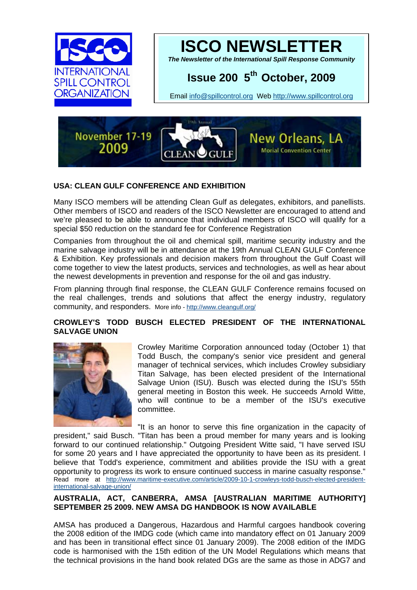



*The Newsletter of the International Spill Response Community* 

# **Issue 200 5th October, 2009**

Email [info@spillcontrol.org](mailto:info@spillcontrol.org) Web [http://www.spillcontrol.org](http://www.spillcontrol.org/) 



## **USA: CLEAN GULF CONFERENCE AND EXHIBITION**

Many ISCO members will be attending Clean Gulf as delegates, exhibitors, and panellists. Other members of ISCO and readers of the ISCO Newsletter are encouraged to attend and we're pleased to be able to announce that individual members of ISCO will qualify for a special \$50 reduction on the standard fee for Conference Registration

Companies from throughout the oil and chemical spill, maritime security industry and the marine salvage industry will be in attendance at the 19th Annual CLEAN GULF Conference & Exhibition. Key professionals and decision makers from throughout the Gulf Coast will come together to view the latest products, services and technologies, as well as hear about the newest developments in prevention and response for the oil and gas industry.

From planning through final response, the CLEAN GULF Conference remains focused on the real challenges, trends and solutions that affect the energy industry, regulatory community, and responders. More info -<http://www.cleangulf.org/>

#### **[CROWLEY'S TODD BUSCH ELECTED PRESIDENT OF THE INTERNATIONAL](http://www.maritime-executive.com/article/2009-10-1-crowleys-todd-busch-elected-president-international-salvage-union/##)  [SALVAGE UNION](http://www.maritime-executive.com/article/2009-10-1-crowleys-todd-busch-elected-president-international-salvage-union/##)**



Crowley Maritime Corporation announced today (October 1) that Todd Busch, the company's senior vice president and general manager of technical services, which includes Crowley subsidiary Titan Salvage, has been elected president of the International Salvage Union (ISU). Busch was elected during the ISU's 55th general meeting in Boston this week. He succeeds Arnold Witte, who will continue to be a member of the ISU's executive committee.

"It is an honor to serve this fine organization in the capacity of president," said Busch. "Titan has been a proud member for many years and is looking forward to our continued relationship." Outgoing President Witte said, "I have served ISU for some 20 years and I have appreciated the opportunity to have been as its president. I believe that Todd's experience, commitment and abilities provide the ISU with a great opportunity to progress its work to ensure continued success in marine casualty response." Read more at [http://www.maritime-executive.com/article/2009-10-1-crowleys-todd-busch-elected-president](http://www.maritime-executive.com/article/2009-10-1-crowleys-todd-busch-elected-president-international-salvage-union/)[international-salvage-union/](http://www.maritime-executive.com/article/2009-10-1-crowleys-todd-busch-elected-president-international-salvage-union/)

#### **AUSTRALIA, ACT, CANBERRA, AMSA [AUSTRALIAN MARITIME AUTHORITY] SEPTEMBER 25 2009. NEW AMSA DG HANDBOOK IS NOW AVAILABLE**

AMSA has produced a Dangerous, Hazardous and Harmful cargoes handbook covering the 2008 edition of the IMDG code (which came into mandatory effect on 01 January 2009 and has been in transitional effect since 01 January 2009). The 2008 edition of the IMDG code is harmonised with the 15th edition of the UN Model Regulations which means that the technical provisions in the hand book related DGs are the same as those in ADG7 and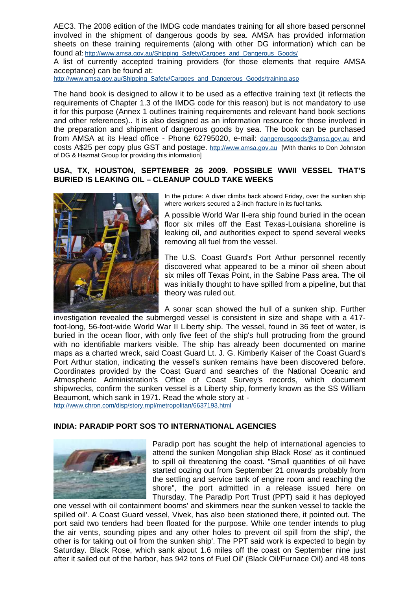AEC3. The 2008 edition of the IMDG code mandates training for all shore based personnel involved in the shipment of dangerous goods by sea. AMSA has provided information sheets on these training requirements (along with other DG information) which can be found at: http://www.amsa.gov.au/Shipping\_Safety/Cargoes\_and\_Dangerous\_Goods/

A list of currently accepted training providers (for those elements that require AMSA acceptance) can be found at:

[http://www.amsa.gov.au/Shipping\\_Safety/Cargoes\\_and\\_Dangerous\\_Goods/training.asp](http://www.amsa.gov.au/Shipping_Safety/Cargoes_and_Dangerous_Goods/training.asp)

The hand book is designed to allow it to be used as a effective training text (it reflects the requirements of Chapter 1.3 of the IMDG code for this reason) but is not mandatory to use it for this purpose (Annex 1 outlines training requirements and relevant hand book sections and other references).. It is also designed as an information resource for those involved in the preparation and shipment of dangerous goods by sea. The book can be purchased from AMSA at its Head office - Phone 62795020, e-mail: [dangerousgoods@amsa.gov.au](mailto:dangerousgoods@amsa.gov.au) and costs A\$25 per copy plus GST and postage. [http://www.amsa.gov.au](http://www.amsa.gov.au/) [With thanks to Don Johnston of DG & Hazmat Group for providing this information]

## **USA, TX, HOUSTON, SEPTEMBER 26 2009. POSSIBLE WWII VESSEL THAT'S BURIED IS LEAKING OIL – CLEANUP COULD TAKE WEEKS**



In the picture: A diver climbs back aboard Friday, over the sunken ship where workers secured a 2-inch fracture in its fuel tanks*.*

A possible World War II-era ship found buried in the ocean floor six miles off the East Texas-Louisiana shoreline is leaking oil, and authorities expect to spend several weeks removing all fuel from the vessel.

The U.S. Coast Guard's Port Arthur personnel recently discovered what appeared to be a minor oil sheen about six miles off Texas Point, in the Sabine Pass area. The oil was initially thought to have spilled from a pipeline, but that theory was ruled out.

A sonar scan showed the hull of a sunken ship. Further investigation revealed the submerged vessel is consistent in size and shape with a 417 foot-long, 56-foot-wide World War II Liberty ship. The vessel, found in 36 feet of water, is buried in the ocean floor, with only five feet of the ship's hull protruding from the ground with no identifiable markers visible. The ship has already been documented on marine maps as a charted wreck, said Coast Guard Lt. J. G. Kimberly Kaiser of the Coast Guard's Port Arthur station, indicating the vessel's sunken remains have been discovered before. Coordinates provided by the Coast Guard and searches of the National Oceanic and Atmospheric Administration's Office of Coast Survey's records, which document shipwrecks, confirm the sunken vessel is a Liberty ship, formerly known as the SS William Beaumont, which sank in 1971. Read the whole story at <http://www.chron.com/disp/story.mpl/metropolitan/6637193.html>

**INDIA: PARADIP PORT SOS TO INTERNATIONAL AGENCIES** 



Paradip port has sought the help of international agencies to attend the sunken Mongolian ship Black Rose' as it continued to spill oil threatening the coast. "Small quantities of oil have started oozing out from September 21 onwards probably from the settling and service tank of engine room and reaching the shore", the port admitted in a release issued here on Thursday. The Paradip Port Trust (PPT) said it has deployed

one vessel with oil containment booms' and skimmers near the sunken vessel to tackle the spilled oil'. A Coast Guard vessel, Vivek, has also been stationed there, it pointed out. The port said two tenders had been floated for the purpose. While one tender intends to plug the air vents, sounding pipes and any other holes to prevent oil spill from the ship', the other is for taking out oil from the sunken ship'. The PPT said work is expected to begin by Saturday. Black Rose, which sank about 1.6 miles off the coast on September nine just after it sailed out of the harbor, has 942 tons of Fuel Oil' (Black Oil/Furnace Oil) and 48 tons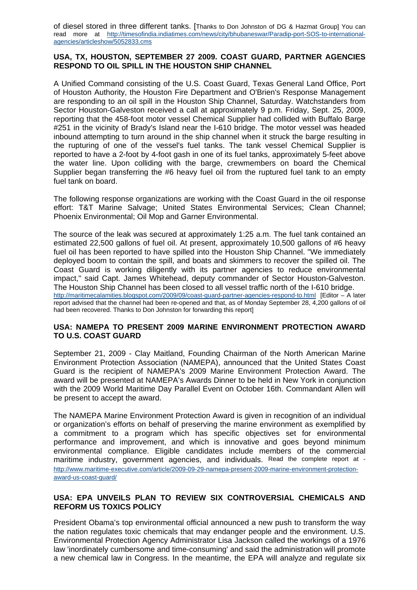of diesel stored in three different tanks. [Thanks to Don Johnston of DG & Hazmat Group] You can read more at [http://timesofindia.indiatimes.com/news/city/bhubaneswar/Paradip-port-SOS-to-international](http://timesofindia.indiatimes.com/news/city/bhubaneswar/Paradip-port-SOS-to-international-agencies/articleshow/5052833.cms)[agencies/articleshow/5052833.cms](http://timesofindia.indiatimes.com/news/city/bhubaneswar/Paradip-port-SOS-to-international-agencies/articleshow/5052833.cms)

#### **USA, TX, HOUSTON, SEPTEMBER 27 2009. COAST GUARD, PARTNER AGENCIES RESPOND TO OIL SPILL IN THE HOUSTON SHIP CHANNEL**

A Unified Command consisting of the U.S. Coast Guard, Texas General Land Office, Port of Houston Authority, the Houston Fire Department and O'Brien's Response Management are responding to an oil spill in the Houston Ship Channel, Saturday. Watchstanders from Sector Houston-Galveston received a call at approximately 9 p.m. Friday, Sept. 25, 2009, reporting that the 458-foot motor vessel Chemical Supplier had collided with Buffalo Barge #251 in the vicinity of Brady's Island near the I-610 bridge. The motor vessel was headed inbound attempting to turn around in the ship channel when it struck the barge resulting in the rupturing of one of the vessel's fuel tanks. The tank vessel Chemical Supplier is reported to have a 2-foot by 4-foot gash in one of its fuel tanks, approximately 5-feet above the water line. Upon colliding with the barge, crewmembers on board the Chemical Supplier began transferring the #6 heavy fuel oil from the ruptured fuel tank to an empty fuel tank on board.

The following response organizations are working with the Coast Guard in the oil response effort: T&T Marine Salvage; United States Environmental Services; Clean Channel; Phoenix Environmental; Oil Mop and Garner Environmental.

The source of the leak was secured at approximately 1:25 a.m. The fuel tank contained an estimated 22,500 gallons of fuel oil. At present, approximately 10,500 gallons of #6 heavy fuel oil has been reported to have spilled into the Houston Ship Channel. "We immediately deployed boom to contain the spill, and boats and skimmers to recover the spilled oil. The Coast Guard is working diligently with its partner agencies to reduce environmental impact," said Capt. James Whitehead, deputy commander of Sector Houston-Galveston. The Houston Ship Channel has been closed to all vessel traffic north of the I-610 bridge. <http://maritimecalamities.blogspot.com/2009/09/coast-guard-partner-agencies-respond-to.html>[Editor – A later report advised that the channel had been re-opened and that, as of Monday September 28, 4,200 gallons of oil had been recovered. Thanks to Don Johnston for forwarding this report]

#### **USA: [NAMEPA TO PRESENT 2009 MARINE ENVIRONMENT PROTECTION AWARD](http://www.maritime-executive.com/article/2009-09-29-namepa-present-2009-marine-environment-protection-award-us-coast-guard/##)  [TO U.S. COAST GUARD](http://www.maritime-executive.com/article/2009-09-29-namepa-present-2009-marine-environment-protection-award-us-coast-guard/##)**

September 21, 2009 - Clay Maitland, Founding Chairman of the North American Marine Environment Protection Association (NAMEPA), announced that the United States Coast Guard is the recipient of NAMEPA's 2009 Marine Environment Protection Award. The award will be presented at NAMEPA's Awards Dinner to be held in New York in conjunction with the 2009 World Maritime Day Parallel Event on October 16th. Commandant Allen will be present to accept the award.

The NAMEPA Marine Environment Protection Award is given in recognition of an individual or organization's efforts on behalf of preserving the marine environment as exemplified by a commitment to a program which has specific objectives set for environmental performance and improvement, and which is innovative and goes beyond minimum environmental compliance. Eligible candidates include members of the commercial maritime industry, government agencies, and individuals. Read the complete report at [http://www.maritime-executive.com/article/2009-09-29-namepa-present-2009-marine-environment-protection](http://www.maritime-executive.com/article/2009-09-29-namepa-present-2009-marine-environment-protection-award-us-coast-guard/)[award-us-coast-guard/](http://www.maritime-executive.com/article/2009-09-29-namepa-present-2009-marine-environment-protection-award-us-coast-guard/)

## **USA: EPA UNVEILS PLAN TO REVIEW SIX CONTROVERSIAL CHEMICALS AND REFORM US TOXICS POLICY**

President Obama's top environmental official announced a new push to transform the way the nation regulates toxic chemicals that may endanger people and the environment. U.S. Environmental Protection Agency Administrator Lisa Jackson called the workings of a 1976 law 'inordinately cumbersome and time-consuming' and said the administration will promote a new chemical law in Congress. In the meantime, the EPA will analyze and regulate six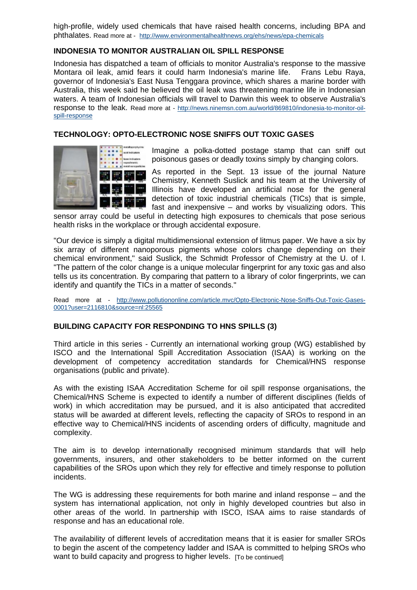high-profile, widely used chemicals that have raised health concerns, including BPA and phthalates. Read more at - <http://www.environmentalhealthnews.org/ehs/news/epa-chemicals>

## **INDONESIA TO MONITOR AUSTRALIAN OIL SPILL RESPONSE**

Indonesia has dispatched a team of officials to monitor Australia's response to the massive Montara oil leak, amid fears it could harm Indonesia's marine life. Frans Lebu Raya, governor of Indonesia's East Nusa Tenggara province, which shares a marine border with Australia, this week said he believed the oil leak was threatening marine life in Indonesian waters. A team of Indonesian officials will travel to Darwin this week to observe Australia's response to the leak. Read more at - [http://news.ninemsn.com.au/world/869810/indonesia-to-monitor-oil](http://news.ninemsn.com.au/world/869810/indonesia-to-monitor-oil-spill-response)[spill-response](http://news.ninemsn.com.au/world/869810/indonesia-to-monitor-oil-spill-response)

## **TECHNOLOGY: OPTO-ELECTRONIC NOSE SNIFFS OUT TOXIC GASES**



Imagine a polka-dotted postage stamp that can sniff out poisonous gases or deadly toxins simply by changing colors.

As reported in the Sept. 13 issue of the journal Nature Chemistry, Kenneth Suslick and his team at the University of Illinois have developed an artificial nose for the general detection of toxic industrial chemicals (TICs) that is simple, fast and inexpensive – and works by visualizing odors. This

sensor array could be useful in detecting high exposures to chemicals that pose serious health risks in the workplace or through accidental exposure.

"Our device is simply a digital multidimensional extension of litmus paper. We have a six by six array of different nanoporous pigments whose colors change depending on their chemical environment," said Suslick, the Schmidt Professor of Chemistry at the U. of I. "The pattern of the color change is a unique molecular fingerprint for any toxic gas and also tells us its concentration. By comparing that pattern to a library of color fingerprints, we can identify and quantify the TICs in a matter of seconds."

Read more at - [http://www.pollutiononline.com/article.mvc/Opto-Electronic-Nose-Sniffs-Out-Toxic-Gases-](http://www.pollutiononline.com/article.mvc/Opto-Electronic-Nose-Sniffs-Out-Toxic-Gases-0001?user=2116810&source=nl:25565)[0001?user=2116810&source=nl:25565](http://www.pollutiononline.com/article.mvc/Opto-Electronic-Nose-Sniffs-Out-Toxic-Gases-0001?user=2116810&source=nl:25565)

#### **BUILDING CAPACITY FOR RESPONDING TO HNS SPILLS (3)**

Third article in this series - Currently an international working group (WG) established by ISCO and the International Spill Accreditation Association (ISAA) is working on the development of competency accreditation standards for Chemical/HNS response organisations (public and private).

As with the existing ISAA Accreditation Scheme for oil spill response organisations, the Chemical/HNS Scheme is expected to identify a number of different disciplines (fields of work) in which accreditation may be pursued, and it is also anticipated that accredited status will be awarded at different levels, reflecting the capacity of SROs to respond in an effective way to Chemical/HNS incidents of ascending orders of difficulty, magnitude and complexity.

The aim is to develop internationally recognised minimum standards that will help governments, insurers, and other stakeholders to be better informed on the current capabilities of the SROs upon which they rely for effective and timely response to pollution incidents.

The WG is addressing these requirements for both marine and inland response – and the system has international application, not only in highly developed countries but also in other areas of the world. In partnership with ISCO, ISAA aims to raise standards of response and has an educational role.

The availability of different levels of accreditation means that it is easier for smaller SROs to begin the ascent of the competency ladder and ISAA is committed to helping SROs who want to build capacity and progress to higher levels. [To be continued]